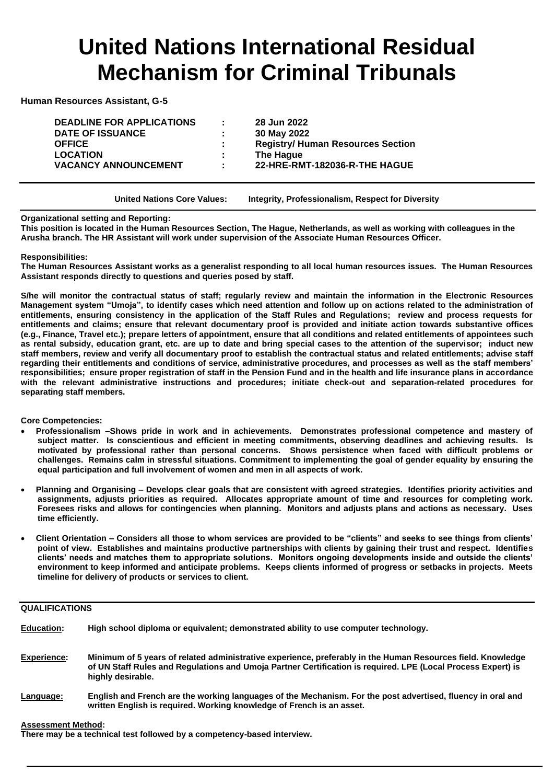# **United Nations International Residual Mechanism for Criminal Tribunals**

**Human Resources Assistant, G-5** 

**DEADLINE FOR APPLICATIONS : 28 Jun 2022 DATE OF ISSUANCE : 30 May 2022 LOCATION : The Hague**

**OFFICE : Registry/ Human Resources Section VACANCY ANNOUNCEMENT : 22-HRE-RMT-182036-R-THE HAGUE**

**United Nations Core Values: Integrity, Professionalism, Respect for Diversity**

### **Organizational setting and Reporting:**

**This position is located in the Human Resources Section, The Hague, Netherlands, as well as working with colleagues in the Arusha branch. The HR Assistant will work under supervision of the Associate Human Resources Officer.**

### **Responsibilities:**

**The Human Resources Assistant works as a generalist responding to all local human resources issues. The Human Resources Assistant responds directly to questions and queries posed by staff.**

**S/he will monitor the contractual status of staff; regularly review and maintain the information in the Electronic Resources Management system "Umoja", to identify cases which need attention and follow up on actions related to the administration of entitlements, ensuring consistency in the application of the Staff Rules and Regulations; review and process requests for entitlements and claims; ensure that relevant documentary proof is provided and initiate action towards substantive offices (e.g., Finance, Travel etc.); prepare letters of appointment, ensure that all conditions and related entitlements of appointees such as rental subsidy, education grant, etc. are up to date and bring special cases to the attention of the supervisor; induct new staff members, review and verify all documentary proof to establish the contractual status and related entitlements; advise staff regarding their entitlements and conditions of service, administrative procedures, and processes as well as the staff members' responsibilities; ensure proper registration of staff in the Pension Fund and in the health and life insurance plans in accordance with the relevant administrative instructions and procedures; initiate check-out and separation-related procedures for separating staff members.**

**Core Competencies:**

- **Professionalism –Shows pride in work and in achievements. Demonstrates professional competence and mastery of subject matter. Is conscientious and efficient in meeting commitments, observing deadlines and achieving results. Is motivated by professional rather than personal concerns. Shows persistence when faced with difficult problems or challenges. Remains calm in stressful situations. Commitment to implementing the goal of gender equality by ensuring the equal participation and full involvement of women and men in all aspects of work.**
- **Planning and Organising – Develops clear goals that are consistent with agreed strategies. Identifies priority activities and assignments, adjusts priorities as required. Allocates appropriate amount of time and resources for completing work. Foresees risks and allows for contingencies when planning. Monitors and adjusts plans and actions as necessary. Uses time efficiently.**
- **Client Orientation – Considers all those to whom services are provided to be "clients" and seeks to see things from clients' point of view. Establishes and maintains productive partnerships with clients by gaining their trust and respect. Identifies clients' needs and matches them to appropriate solutions. Monitors ongoing developments inside and outside the clients' environment to keep informed and anticipate problems. Keeps clients informed of progress or setbacks in projects. Meets timeline for delivery of products or services to client.**

### **QUALIFICATIONS**

| <b>Education:</b>  | High school diploma or equivalent; demonstrated ability to use computer technology.                                                                                                                                                              |
|--------------------|--------------------------------------------------------------------------------------------------------------------------------------------------------------------------------------------------------------------------------------------------|
| <b>Experience:</b> | Minimum of 5 years of related administrative experience, preferably in the Human Resources field. Knowledge<br>of UN Staff Rules and Regulations and Umoja Partner Certification is reguired. LPE (Local Process Expert) is<br>highly desirable. |
| Language:          | English and French are the working languages of the Mechanism. For the post advertised, fluency in oral and<br>written English is required. Working knowledge of French is an asset.                                                             |

### **Assessment Method:**

**There may be a technical test followed by a competency-based interview.**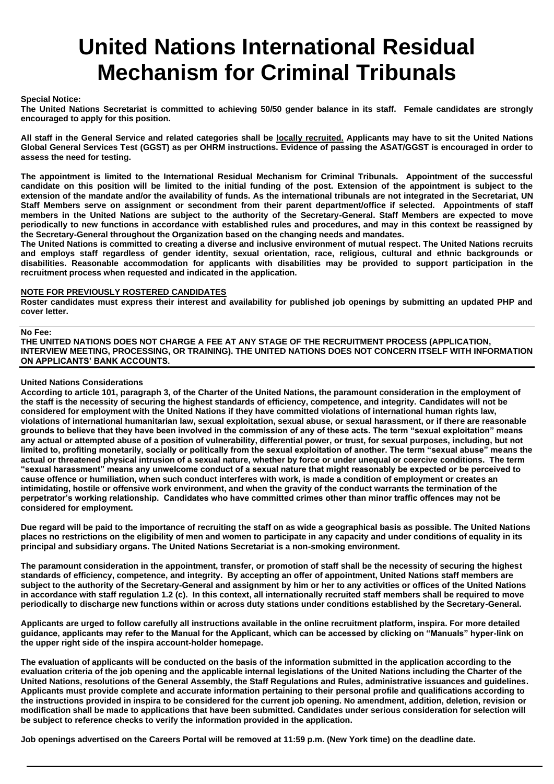# **United Nations International Residual Mechanism for Criminal Tribunals**

### **Special Notice:**

**The United Nations Secretariat is committed to achieving 50/50 gender balance in its staff. Female candidates are strongly encouraged to apply for this position.** 

**All staff in the General Service and related categories shall be locally recruited. Applicants may have to sit the United Nations Global General Services Test (GGST) as per OHRM instructions. Evidence of passing the ASAT/GGST is encouraged in order to assess the need for testing.**

**The appointment is limited to the International Residual Mechanism for Criminal Tribunals. Appointment of the successful candidate on this position will be limited to the initial funding of the post. Extension of the appointment is subject to the extension of the mandate and/or the availability of funds. As the international tribunals are not integrated in the Secretariat, UN Staff Members serve on assignment or secondment from their parent department/office if selected. Appointments of staff members in the United Nations are subject to the authority of the Secretary-General. Staff Members are expected to move periodically to new functions in accordance with established rules and procedures, and may in this context be reassigned by the Secretary-General throughout the Organization based on the changing needs and mandates.**

**The United Nations is committed to creating a diverse and inclusive environment of mutual respect. The United Nations recruits and employs staff regardless of gender identity, sexual orientation, race, religious, cultural and ethnic backgrounds or disabilities. Reasonable accommodation for applicants with disabilities may be provided to support participation in the recruitment process when requested and indicated in the application.**

#### **NOTE FOR PREVIOUSLY ROSTERED CANDIDATES**

**Roster candidates must express their interest and availability for published job openings by submitting an updated PHP and cover letter.**

#### **No Fee:**

**THE UNITED NATIONS DOES NOT CHARGE A FEE AT ANY STAGE OF THE RECRUITMENT PROCESS (APPLICATION, INTERVIEW MEETING, PROCESSING, OR TRAINING). THE UNITED NATIONS DOES NOT CONCERN ITSELF WITH INFORMATION ON APPLICANTS' BANK ACCOUNTS.**

### **United Nations Considerations**

**According to article 101, paragraph 3, of the Charter of the United Nations, the paramount consideration in the employment of the staff is the necessity of securing the highest standards of efficiency, competence, and integrity. Candidates will not be considered for employment with the United Nations if they have committed violations of international human rights law, violations of international humanitarian law, sexual exploitation, sexual abuse, or sexual harassment, or if there are reasonable grounds to believe that they have been involved in the commission of any of these acts. The term "sexual exploitation" means any actual or attempted abuse of a position of vulnerability, differential power, or trust, for sexual purposes, including, but not limited to, profiting monetarily, socially or politically from the sexual exploitation of another. The term "sexual abuse" means the actual or threatened physical intrusion of a sexual nature, whether by force or under unequal or coercive conditions. The term "sexual harassment" means any unwelcome conduct of a sexual nature that might reasonably be expected or be perceived to cause offence or humiliation, when such conduct interferes with work, is made a condition of employment or creates an intimidating, hostile or offensive work environment, and when the gravity of the conduct warrants the termination of the perpetrator's working relationship. Candidates who have committed crimes other than minor traffic offences may not be considered for employment.**

**Due regard will be paid to the importance of recruiting the staff on as wide a geographical basis as possible. The United Nations places no restrictions on the eligibility of men and women to participate in any capacity and under conditions of equality in its principal and subsidiary organs. The United Nations Secretariat is a non-smoking environment.**

**The paramount consideration in the appointment, transfer, or promotion of staff shall be the necessity of securing the highest standards of efficiency, competence, and integrity. By accepting an offer of appointment, United Nations staff members are subject to the authority of the Secretary-General and assignment by him or her to any activities or offices of the United Nations in accordance with staff regulation 1.2 (c). In this context, all internationally recruited staff members shall be required to move periodically to discharge new functions within or across duty stations under conditions established by the Secretary-General.** 

**Applicants are urged to follow carefully all instructions available in the online recruitment platform, inspira. For more detailed guidance, applicants may refer to the Manual for the Applicant, which can be accessed by clicking on "Manuals" hyper-link on the upper right side of the inspira account-holder homepage.**

**The evaluation of applicants will be conducted on the basis of the information submitted in the application according to the evaluation criteria of the job opening and the applicable internal legislations of the United Nations including the Charter of the United Nations, resolutions of the General Assembly, the Staff Regulations and Rules, administrative issuances and guidelines. Applicants must provide complete and accurate information pertaining to their personal profile and qualifications according to the instructions provided in inspira to be considered for the current job opening. No amendment, addition, deletion, revision or modification shall be made to applications that have been submitted. Candidates under serious consideration for selection will be subject to reference checks to verify the information provided in the application.**

**Job openings advertised on the Careers Portal will be removed at 11:59 p.m. (New York time) on the deadline date.**